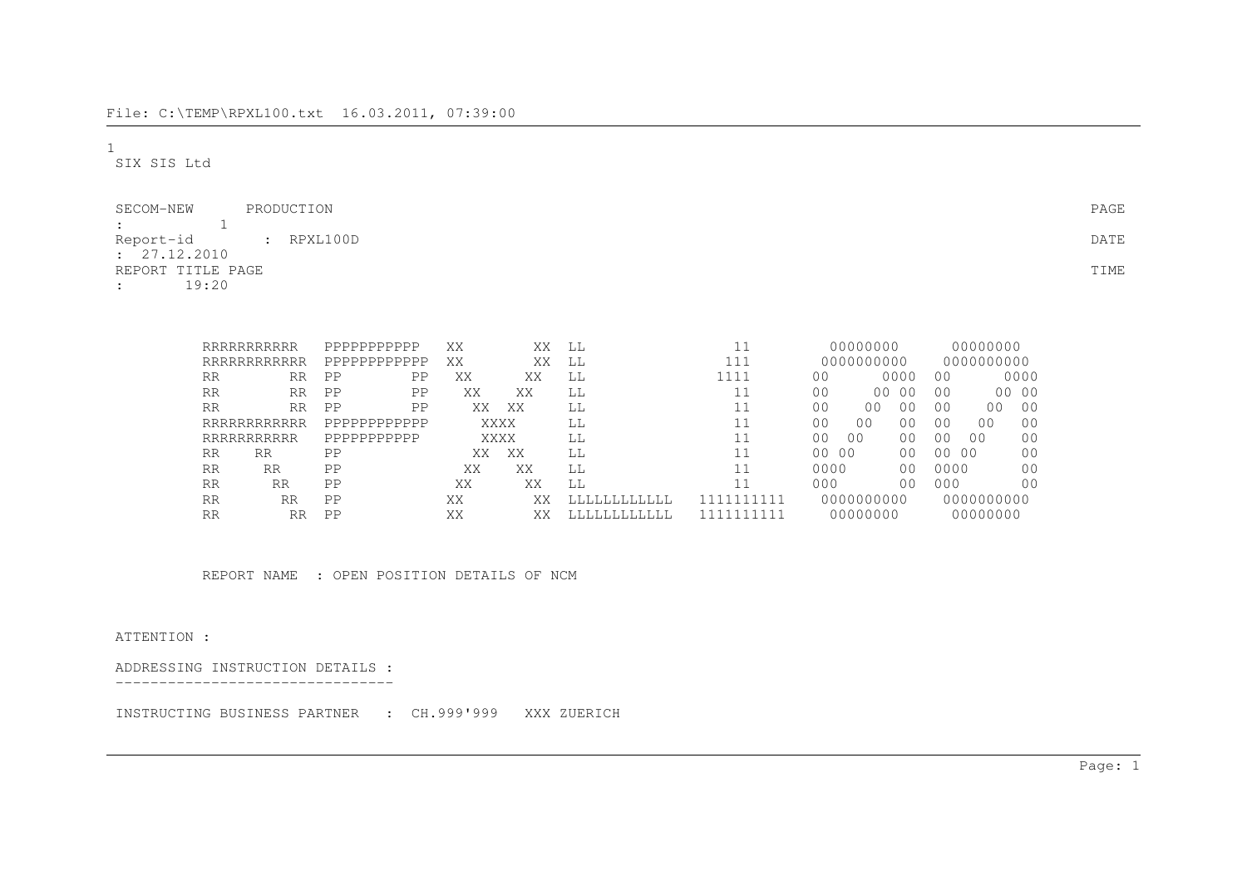1SIX SIS Ltd

| PRODUCTION<br>SECOM-NEW              | PAGE |
|--------------------------------------|------|
| $\sim$ 100 $\sim$                    |      |
| Report-id : RPXL100D<br>: 27.12.2010 | DATE |
| REPORT TITLE PAGE                    | TIME |
| 19:20<br>$\mathbf{r}$                |      |

|           | RRRRRRRRRRR  | PPPPPPPPPPP    | XX | XX          | LL          |        | 00000000                |                |                | 00000000       |                |
|-----------|--------------|----------------|----|-------------|-------------|--------|-------------------------|----------------|----------------|----------------|----------------|
|           | RRRRRRRRRRRR | PPPPPPPPPPPP   | XX | XX          | LL          | 111    | 0000000000              |                |                | 0000000000     |                |
| RR        | RR           | PP<br>PP       | XX | XX          | LL          | 1111   | 0 <sub>0</sub>          | 0000           | 0 <sub>0</sub> |                | 0000           |
| RR        | <b>RR</b>    | $\rm PP$<br>PP | XX | XX          | LL          |        | 0 <sub>0</sub><br>00    | - 0 0          | 0 <sub>0</sub> |                | 00 00          |
| RR        | <b>RR</b>    | PP<br>PP       | XX | XX          | LL          |        | 0 <sup>0</sup><br>00    | 00             | 00             | 0 <sub>0</sub> | 00             |
|           | RRRRRRRRRRRR | PPPPPPPPPPPP   |    | <b>XXXX</b> | LL          |        | 0 <sub>0</sub><br>00    | 0 <sub>0</sub> | 0 <sub>0</sub> | 0 <sub>0</sub> | 0 <sup>0</sup> |
|           | RRRRRRRRRRR  | PPPPPPPPPPP    |    | XXXX        | LL          |        | 00<br>0 <sup>0</sup>    | 0 <sub>0</sub> | 00             | 00             | 00             |
| RR        | <b>RR</b>    | PP             | XX | XX          | LL          |        | - 00<br>00 <sup>o</sup> | 0 <sub>0</sub> | 00 00          |                | 0 <sub>0</sub> |
| RR        | RR           | PP             | XX | XХ          | LL          |        | 0000                    | 0 <sub>0</sub> | 0000           |                | 0 <sub>0</sub> |
| <b>RR</b> | <b>RR</b>    | PP             | XX | XX          | LL          |        | 000                     | 0 <sub>0</sub> | 000            |                | 0 <sub>0</sub> |
| RR        | RR           | PP             | XX | XХ          | LLLLLLLLLLL | 111111 | 0000000000              |                |                | 0000000000     |                |
| <b>RR</b> | RR           | PP             | XX | XX          | LLLLLLLLLLL |        | 00000000                |                |                | 00000000       |                |

REPORT NAME : OPEN POSITION DETAILS OF NCM

ATTENTION :

ADDRESSING INSTRUCTION DETAILS :

--------------------------------

INSTRUCTING BUSINESS PARTNER : CH.999'999 XXX ZUERICH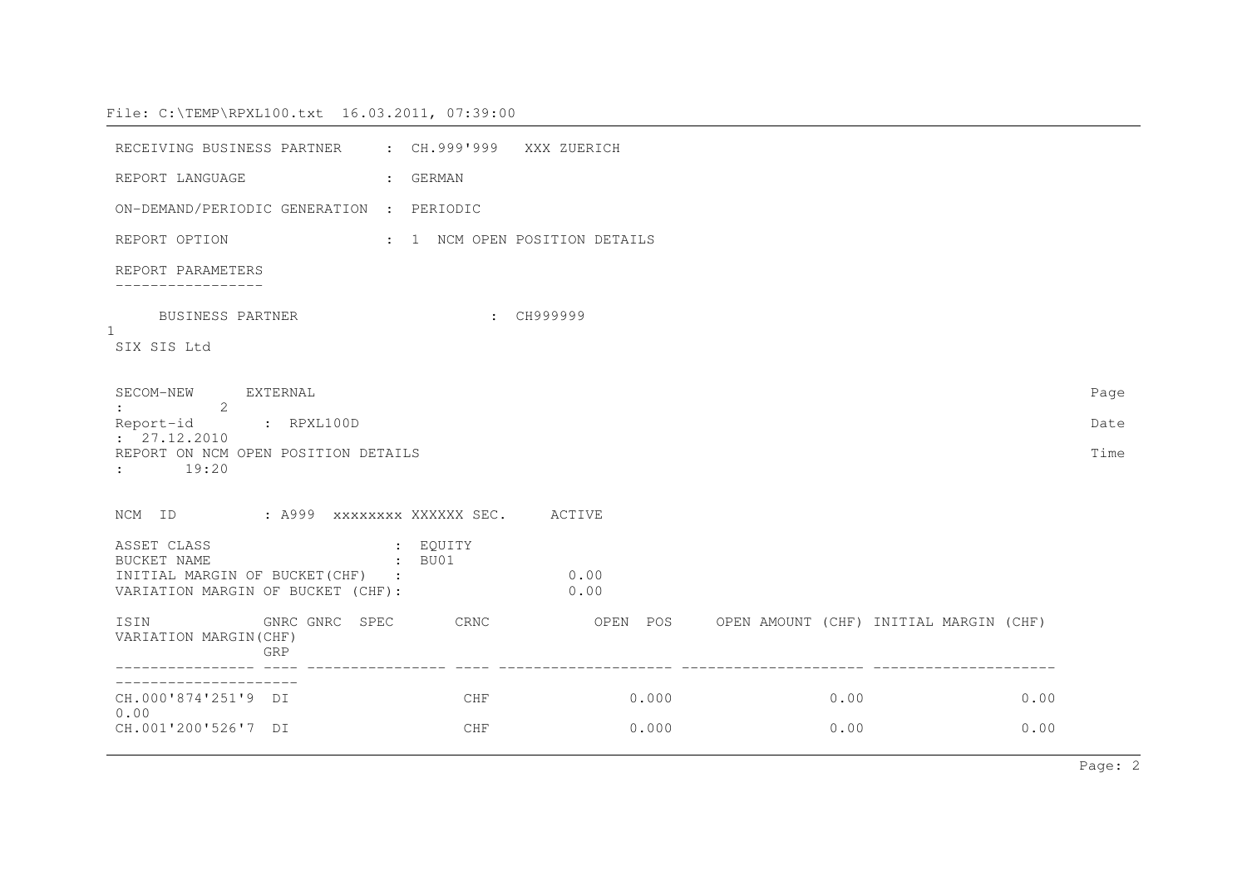| RECEIVING BUSINESS PARTNER : CH.999'999                              |                    | XXX ZUERICH                   |                |                                                 |              |  |              |      |
|----------------------------------------------------------------------|--------------------|-------------------------------|----------------|-------------------------------------------------|--------------|--|--------------|------|
| REPORT LANGUAGE                                                      | : GERMAN           |                               |                |                                                 |              |  |              |      |
| ON-DEMAND/PERIODIC GENERATION : PERIODIC                             |                    |                               |                |                                                 |              |  |              |      |
| REPORT OPTION                                                        |                    | : 1 NCM OPEN POSITION DETAILS |                |                                                 |              |  |              |      |
| REPORT PARAMETERS                                                    |                    |                               |                |                                                 |              |  |              |      |
| BUSINESS PARTNER<br>$\mathbf{1}$                                     |                    | CH999999                      |                |                                                 |              |  |              |      |
| SIX SIS Ltd                                                          |                    |                               |                |                                                 |              |  |              |      |
| SECOM-NEW EXTERNAL<br>$\colon$ 2                                     |                    |                               |                |                                                 |              |  |              | Page |
| Report-id : RPXL100D<br>: 27.12.2010                                 |                    |                               |                |                                                 |              |  |              | Date |
| REPORT ON NCM OPEN POSITION DETAILS<br>19:20<br>$\mathbf{1}$         |                    |                               |                |                                                 |              |  |              | Time |
| NCM ID : A999 XXXXXXXX XXXXXX SEC. ACTIVE                            |                    |                               |                |                                                 |              |  |              |      |
| ASSET CLASS<br>BUCKET NAME                                           | : EQUITY<br>: BU01 |                               |                |                                                 |              |  |              |      |
| INITIAL MARGIN OF BUCKET(CHF) :<br>VARIATION MARGIN OF BUCKET (CHF): |                    | 0.00<br>0.00                  |                |                                                 |              |  |              |      |
| GNRC GNRC SPEC CRNC<br>ISIN<br>VARIATION MARGIN (CHF)<br>GRP         |                    |                               |                | OPEN POS OPEN AMOUNT (CHF) INITIAL MARGIN (CHF) |              |  |              |      |
|                                                                      |                    |                               |                |                                                 |              |  |              |      |
| CH.000'874'251'9 DI<br>0.00<br>CH.001'200'526'7 DI                   | CHF<br>CHF         |                               | 0.000<br>0.000 |                                                 | 0.00<br>0.00 |  | 0.00<br>0.00 |      |
|                                                                      |                    |                               |                |                                                 |              |  |              |      |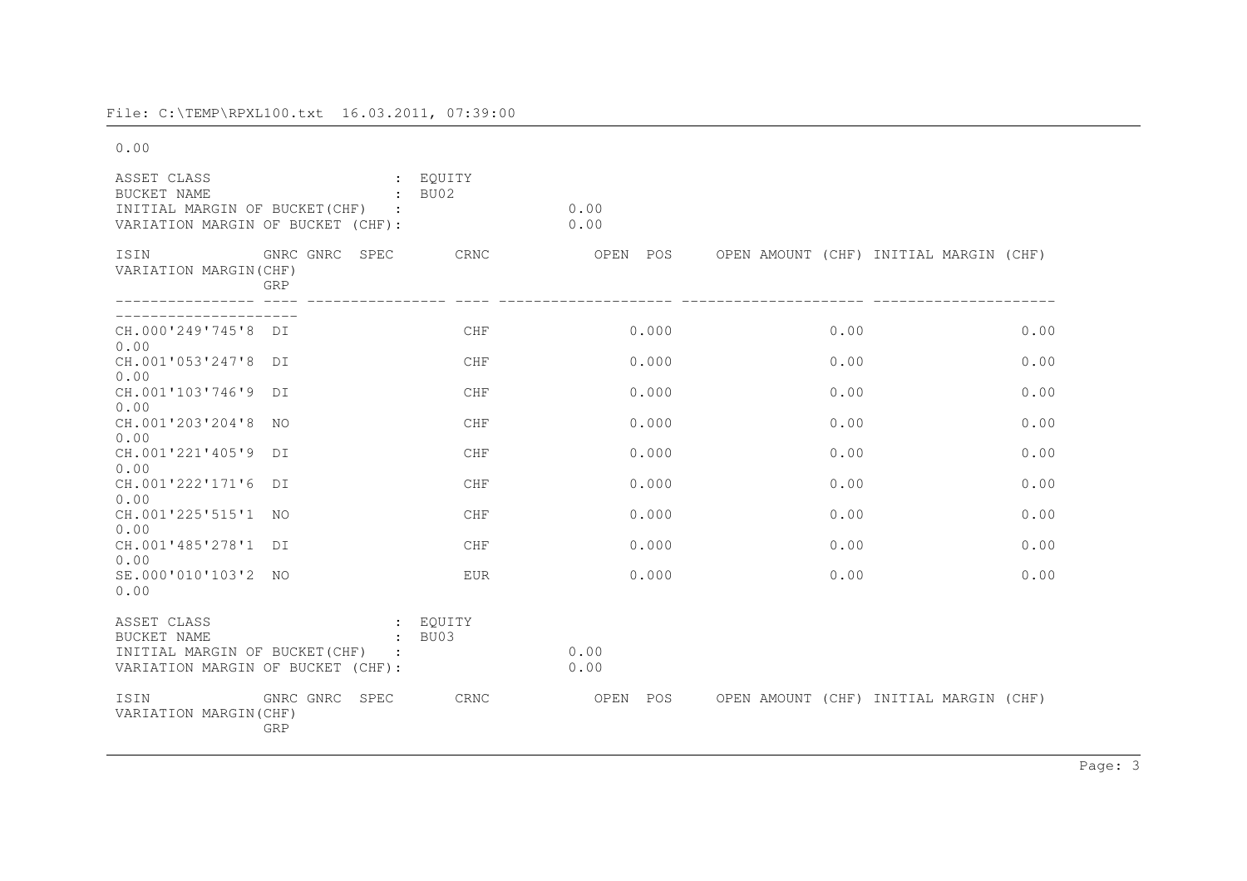0.00

| ASSET CLASS<br>BUCKET NAME<br>INITIAL MARGIN OF BUCKET (CHF)<br>VARIATION MARGIN OF BUCKET (CHF):        | $\cdot$                                                      | EQUITY<br>BU02 | 0.00<br>0.00 |                                        |      |
|----------------------------------------------------------------------------------------------------------|--------------------------------------------------------------|----------------|--------------|----------------------------------------|------|
| ISIN<br>VARIATION MARGIN (CHF)                                                                           | GNRC GNRC<br>SPEC<br>GRP                                     | CRNC           | OPEN<br>POS  | OPEN AMOUNT (CHF) INITIAL MARGIN (CHF) |      |
| CH.000'249'745'8<br>0.00                                                                                 | DT                                                           | <b>CHF</b>     | 0.000        | 0.00                                   | 0.00 |
| CH.001'053'247'8<br>0.00                                                                                 | DT                                                           | <b>CHF</b>     | 0.000        | 0.00                                   | 0.00 |
| CH.001'103'746'9<br>0.00                                                                                 | DT                                                           | CHF            | 0.000        | 0.00                                   | 0.00 |
| CH.001'203'204'8<br>0.00                                                                                 | NO.                                                          | <b>CHF</b>     | 0.000        | 0.00                                   | 0.00 |
| CH.001'221'405'9<br>0.00                                                                                 | DT                                                           | <b>CHF</b>     | 0.000        | 0.00                                   | 0.00 |
| CH.001'222'171'6<br>0.00                                                                                 | DT                                                           | CHF            | 0.000        | 0.00                                   | 0.00 |
| CH.001'225'515'1<br>0.00                                                                                 | NO.                                                          | <b>CHF</b>     | 0.000        | 0.00                                   | 0.00 |
| CH.001'485'278'1<br>0.00                                                                                 | DT                                                           | <b>CHF</b>     | 0.000        | 0.00                                   | 0.00 |
| SE.000'010'103'2<br>0.00                                                                                 | NO.                                                          | <b>EUR</b>     | 0.000        | 0.00                                   | 0.00 |
| ASSET CLASS<br><b>BUCKET NAME</b><br>INITIAL MARGIN OF BUCKET (CHF)<br>VARIATION MARGIN OF BUCKET (CHF): | $\mathbf{L}$<br>$\ddot{\phantom{a}}$<br>$\ddot{\phantom{a}}$ | EOUITY<br>BU03 | 0.00<br>0.00 |                                        |      |
| ISIN<br>VARIATION MARGIN (CHF)                                                                           | GNRC GNRC<br>SPEC<br>GRP                                     | CRNC           | OPEN<br>POS  | OPEN AMOUNT (CHF) INITIAL MARGIN (CHF) |      |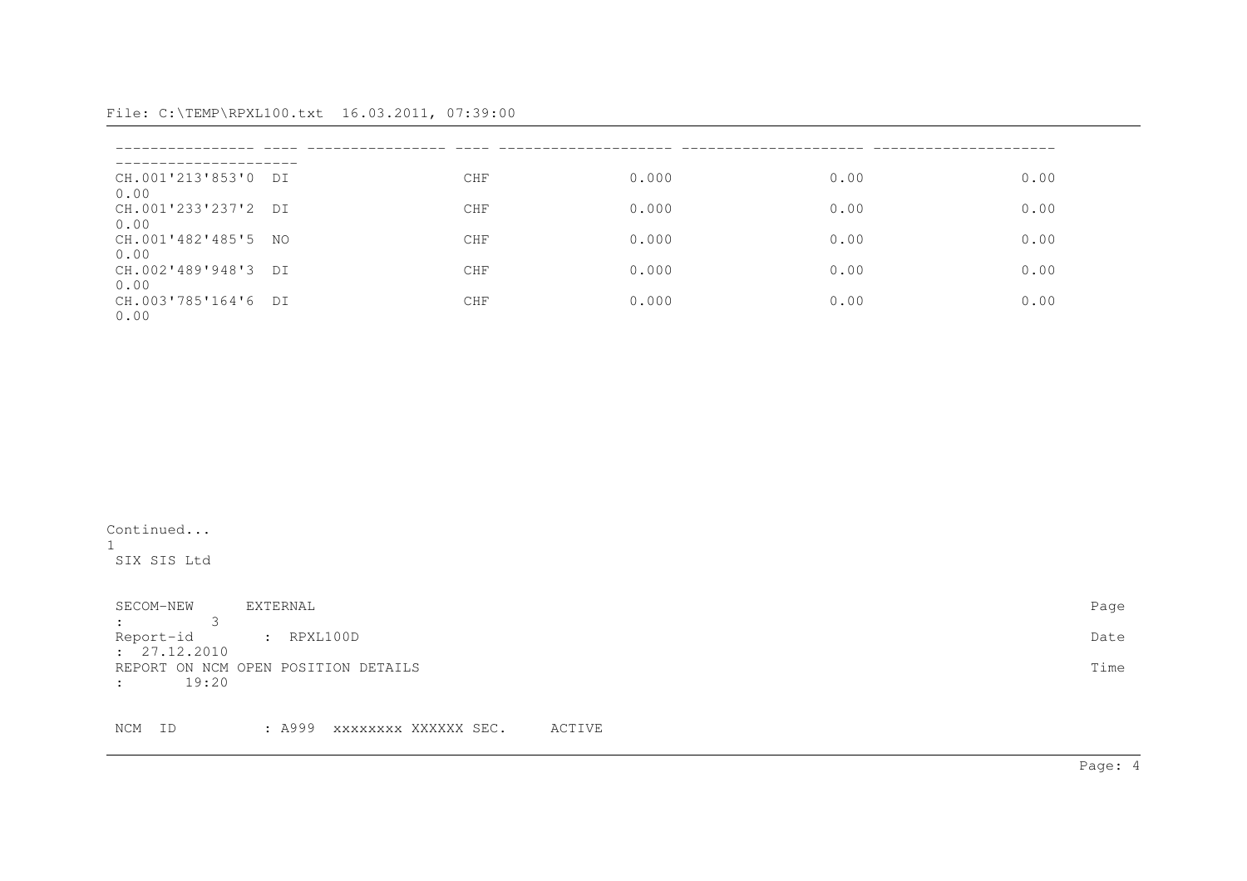| CH.001'213'853'0 DI<br>0.00 | <b>CHF</b> | 0.000 | 0.00 | 0.00 |
|-----------------------------|------------|-------|------|------|
| CH.001'233'237'2 DI<br>0.00 | <b>CHF</b> | 0.000 | 0.00 | 0.00 |
| CH.001'482'485'5 NO<br>0.00 | <b>CHF</b> | 0.000 | 0.00 | 0.00 |
| CH.002'489'948'3 DI<br>0.00 | <b>CHF</b> | 0.000 | 0.00 | 0.00 |
| CH.003'785'164'6 DI<br>0.00 | <b>CHF</b> | 0.000 | 0.00 | 0.00 |

Continued...1SIX SIS Ltd

| SECOM-NEW                  | EXTERNAL                            | Page |
|----------------------------|-------------------------------------|------|
| $\cdot$ 3                  |                                     |      |
| Report-id : RPXL100D       |                                     | Date |
| : 27.12.2010               |                                     |      |
|                            | REPORT ON NCM OPEN POSITION DETAILS | Time |
| 19:20<br>$\sim$ 100 $\sim$ |                                     |      |

NCM ID : A999 xxxxxxxx XXXXXX SEC. ACTIVE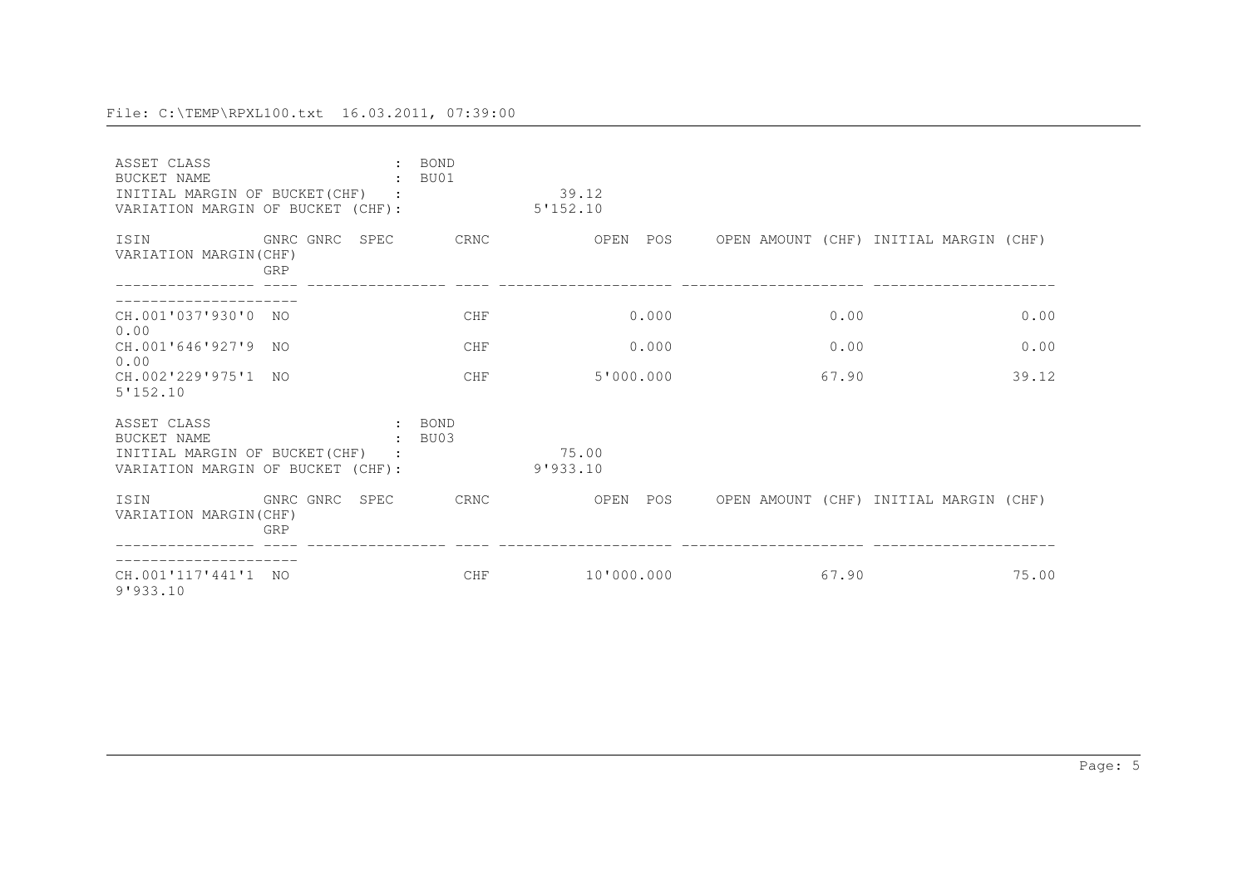| ASSET CLASS<br>BUCKET NAME<br>INITIAL MARGIN OF BUCKET (CHF)<br>VARIATION MARGIN OF BUCKET (CHF): |                       | <b>BOND</b><br>BU01 | 39.12<br>5'152.10 |       |                                        |
|---------------------------------------------------------------------------------------------------|-----------------------|---------------------|-------------------|-------|----------------------------------------|
| ISIN<br>VARIATION MARGIN(CHF)                                                                     | GNRC GNRC SPEC<br>GRP | CRNC                | OPEN<br>POS       |       | OPEN AMOUNT (CHF) INITIAL MARGIN (CHF) |
| CH.001'037'930'0 NO                                                                               |                       | <b>CHF</b>          | 0.000             | 0.00  | 0.00                                   |
| 0.00<br>CH.001'646'927'9<br>0.00                                                                  | NO.                   | <b>CHF</b>          | 0.000             | 0.00  | 0.00                                   |
| CH.002'229'975'1 NO<br>5'152.10                                                                   |                       | CHF                 | 5'000.000         | 67.90 | 39.12                                  |
| ASSET CLASS<br>BUCKET NAME<br>INITIAL MARGIN OF BUCKET (CHF)<br>VARIATION MARGIN OF BUCKET (CHF): |                       | : BOND<br>BU03      | 75.00<br>9'933.10 |       |                                        |
| ISIN<br>VARIATION MARGIN(CHF)                                                                     | GNRC GNRC SPEC<br>GRP | CRNC                | OPEN<br>POS       |       | OPEN AMOUNT (CHF) INITIAL MARGIN (CHF) |
| CH.001'117'441'1<br>9'933.10                                                                      | NO.                   | <b>CHF</b>          | 10'000.000        | 67.90 | 75.00                                  |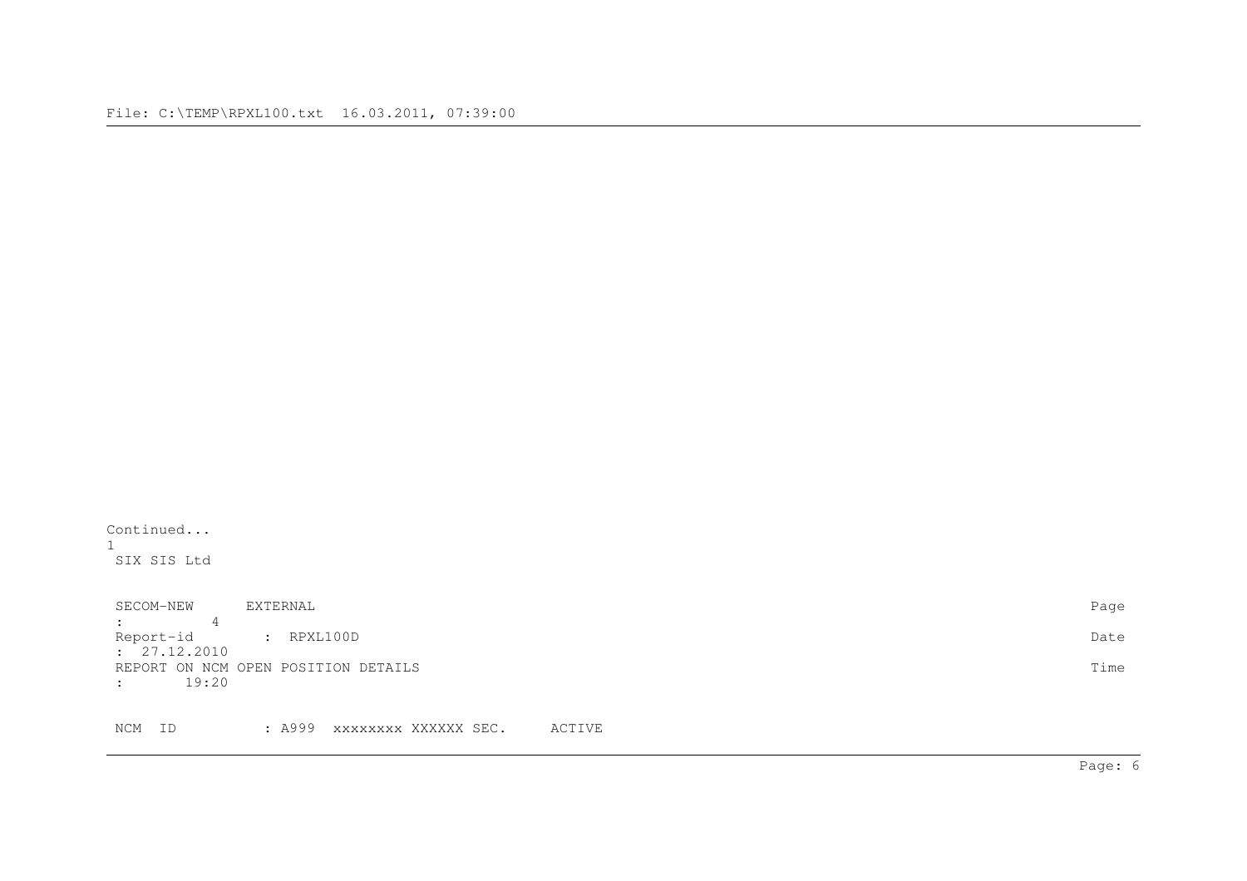Continued...

| ᆂ<br>SIX SIS Ltd                                          |      |
|-----------------------------------------------------------|------|
| EXTERNAL<br>SECOM-NEW<br>4<br>$\ddot{\cdot}$              | Page |
| : RPXL100D<br>Report-id<br>: 27.12.2010                   | Date |
| REPORT ON NCM OPEN POSITION DETAILS<br>19:20<br>$\bullet$ | Time |
|                                                           |      |

NCM ID : A999 xxxxxxxx XXXXXX SEC. ACTIVE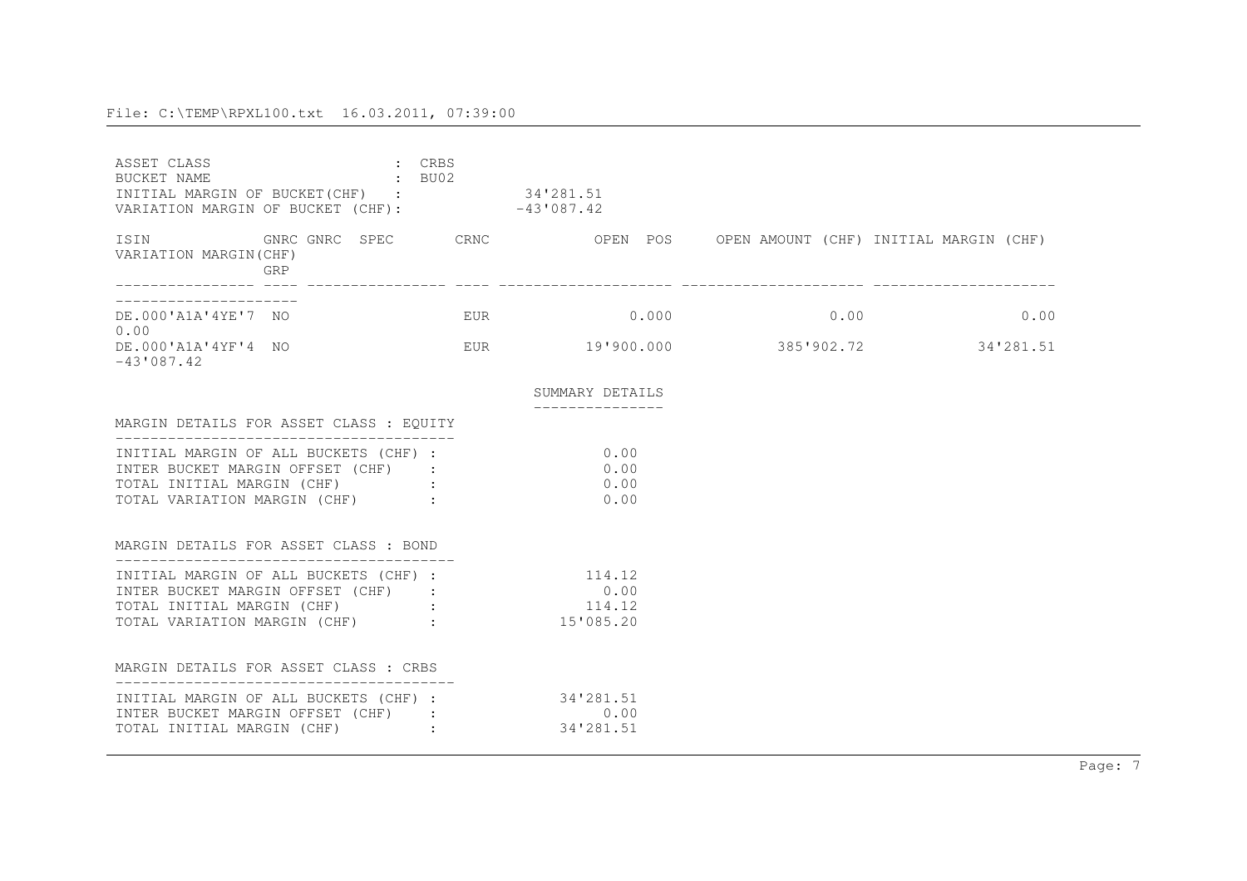| ASSET CLASS<br>$\sim$ BU02<br>BUCKET NAME<br>INITIAL MARGIN OF BUCKET (CHF) : 34'281.51<br>VARIATION MARGIN OF BUCKET (CHF): -43'087.42                 | : CRBS |                                             |      |
|---------------------------------------------------------------------------------------------------------------------------------------------------------|--------|---------------------------------------------|------|
| ISIN 6NRC GNRC SPEC CRNC OPEN POS OPEN AMOUNT (CHF) INITIAL MARGIN (CHF)<br>VARIATION MARGIN(CHF)<br>GRP                                                |        |                                             |      |
| DE.000'A1A'4YE'7 NO<br>0.00                                                                                                                             |        | EUR 0.000 0.000 0.00                        | 0.00 |
| DE.000'A1A'4YF'4 NO<br>$-43'087.42$                                                                                                                     |        |                                             |      |
|                                                                                                                                                         |        | SUMMARY DETAILS                             |      |
| MARGIN DETAILS FOR ASSET CLASS : EQUITY                                                                                                                 |        |                                             |      |
| INITIAL MARGIN OF ALL BUCKETS (CHF) :<br>INTER BUCKET MARGIN OFFSET (CHF) :<br>TOTAL INITIAL MARGIN (CHF) :<br>TOTAL VARIATION MARGIN (CHF) :           |        | 0.00<br>0.00<br>0.00<br>0.00                |      |
| MARGIN DETAILS FOR ASSET CLASS: BOND                                                                                                                    |        |                                             |      |
| INITIAL MARGIN OF ALL BUCKETS (CHF) :<br>INTER BUCKET MARGIN OFFSET (CHF) :<br>TOTAL INITIAL MARGIN (CHF) :<br>TOTAL VARIATION MARGIN (CHF) : 15'085.20 |        | 114.12<br>0.00<br>114.12                    |      |
| MARGIN DETAILS FOR ASSET CLASS : CRBS                                                                                                                   |        |                                             |      |
| INITIAL MARGIN OF ALL BUCKETS (CHF) :<br>INTER BUCKET MARGIN OFFSET (CHF) :<br>TOTAL INITIAL MARGIN (CHF) :                                             |        | $34'281.51$ $0.00$ $34'281.51$<br>34'281.51 |      |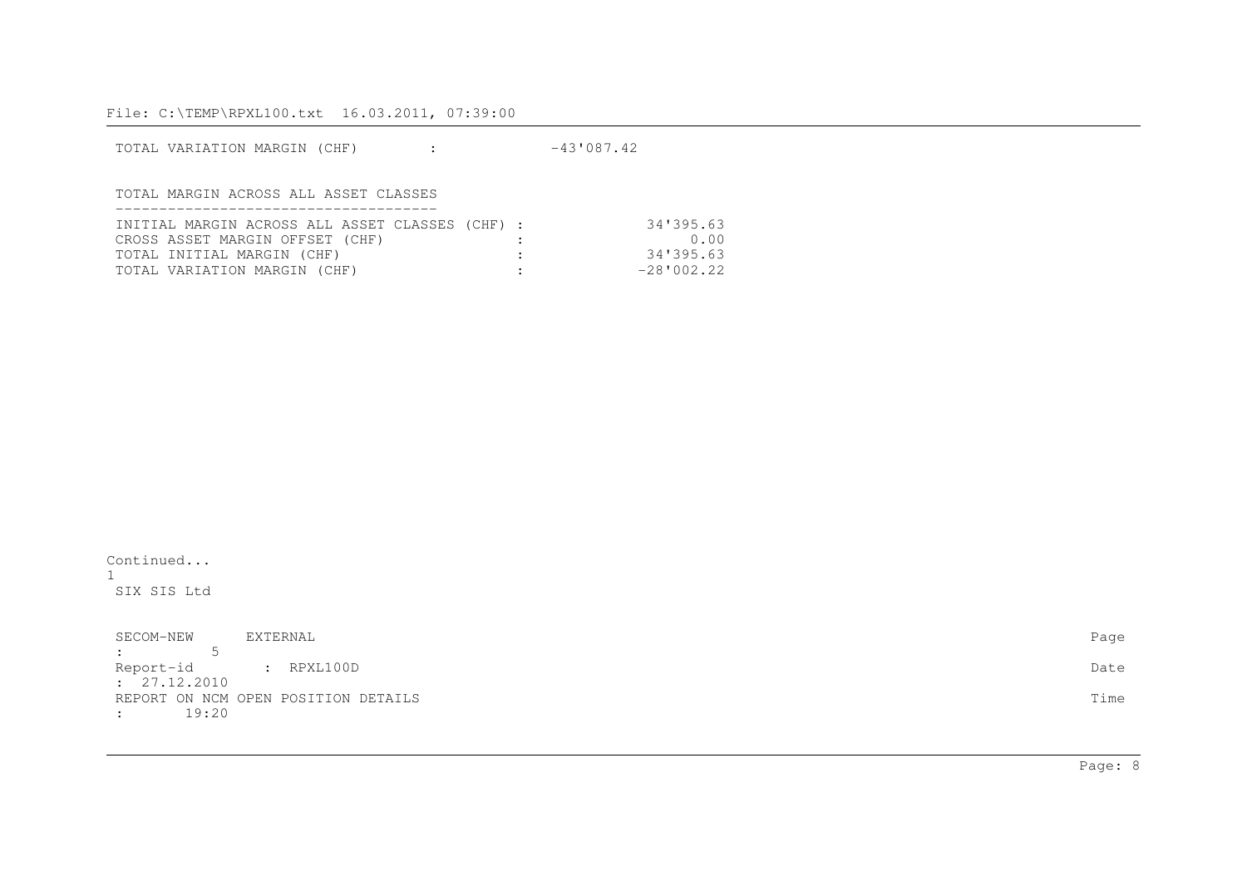| TOTAL VARIATION MARGIN (CHF)                    | $-43'087.42$ |              |
|-------------------------------------------------|--------------|--------------|
|                                                 |              |              |
| TOTAL MARGIN ACROSS ALL ASSET CLASSES           |              |              |
|                                                 |              |              |
| INITIAL MARGIN ACROSS ALL ASSET CLASSES (CHF) : |              | 34'395.63    |
| CROSS ASSET MARGIN OFFSET (CHF)                 |              | 0.00         |
| TOTAL INITIAL MARGIN (CHF)                      |              | 34'395.63    |
| TOTAL VARIATION MARGIN (CHF)                    |              | $-28'002.22$ |

Continued...1SIX SIS Ltd

| SECOM-NEW            | EXTERNAL                            | Page |
|----------------------|-------------------------------------|------|
| $\sim$ 1.0 $\sim$    |                                     |      |
| Report-id : RPXL100D |                                     | Date |
| : 27.12.2010         |                                     |      |
|                      | REPORT ON NCM OPEN POSITION DETAILS | Time |
| 19:20                |                                     |      |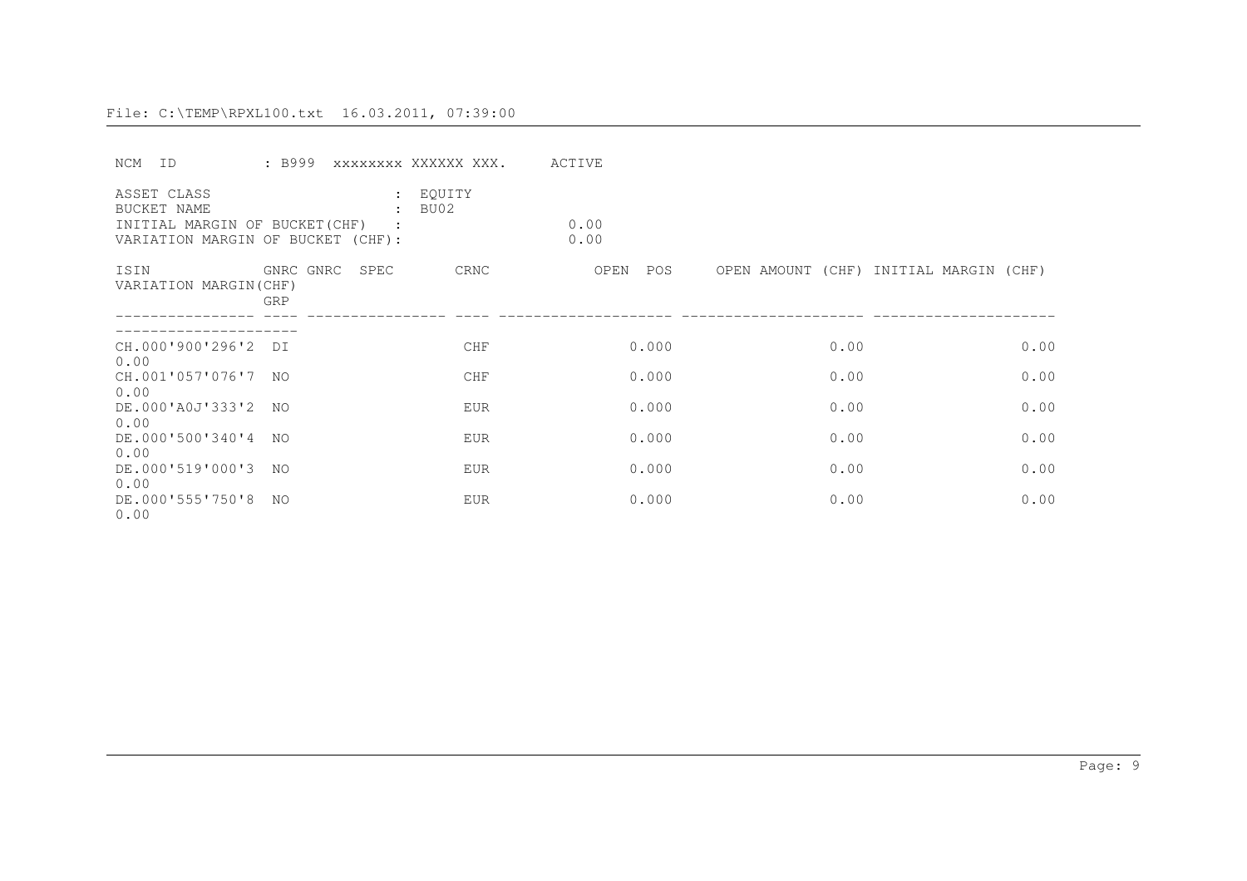| NCM<br>T D                                                                                        | : B999                   | XXXXXXXX XXXXXX XXX.             | ACTIVE       |      |                                        |
|---------------------------------------------------------------------------------------------------|--------------------------|----------------------------------|--------------|------|----------------------------------------|
| ASSET CLASS<br>BUCKET NAME<br>INITIAL MARGIN OF BUCKET (CHF)<br>VARIATION MARGIN OF BUCKET (CHF): |                          | : EQUITY<br>BU02<br>$\mathbf{r}$ | 0.00<br>0.00 |      |                                        |
| ISIN<br>VARIATION MARGIN(CHF)                                                                     | GNRC GNRC<br>SPEC<br>GRP | CRNC                             | OPEN<br>POS  |      | OPEN AMOUNT (CHF) INITIAL MARGIN (CHF) |
| CH.000'900'296'2<br>0.00                                                                          | DT                       | <b>CHF</b>                       | 0.000        | 0.00 | 0.00                                   |
| CH.001'057'076'7<br>0.00                                                                          | NO.                      | <b>CHF</b>                       | 0.000        | 0.00 | 0.00                                   |
| DE.000'A0J'333'2<br>0.00                                                                          | NO.                      | <b>EUR</b>                       | 0.000        | 0.00 | 0.00                                   |
| DE.000'500'340'4<br>0.00                                                                          | NO.                      | <b>EUR</b>                       | 0.000        | 0.00 | 0.00                                   |
| DE.000'519'000'3<br>0.00                                                                          | NO.                      | <b>EUR</b>                       | 0.000        | 0.00 | 0.00                                   |
| DE.000'555'750'8<br>0.00                                                                          | NO.                      | <b>EUR</b>                       | 0.000        | 0.00 | 0.00                                   |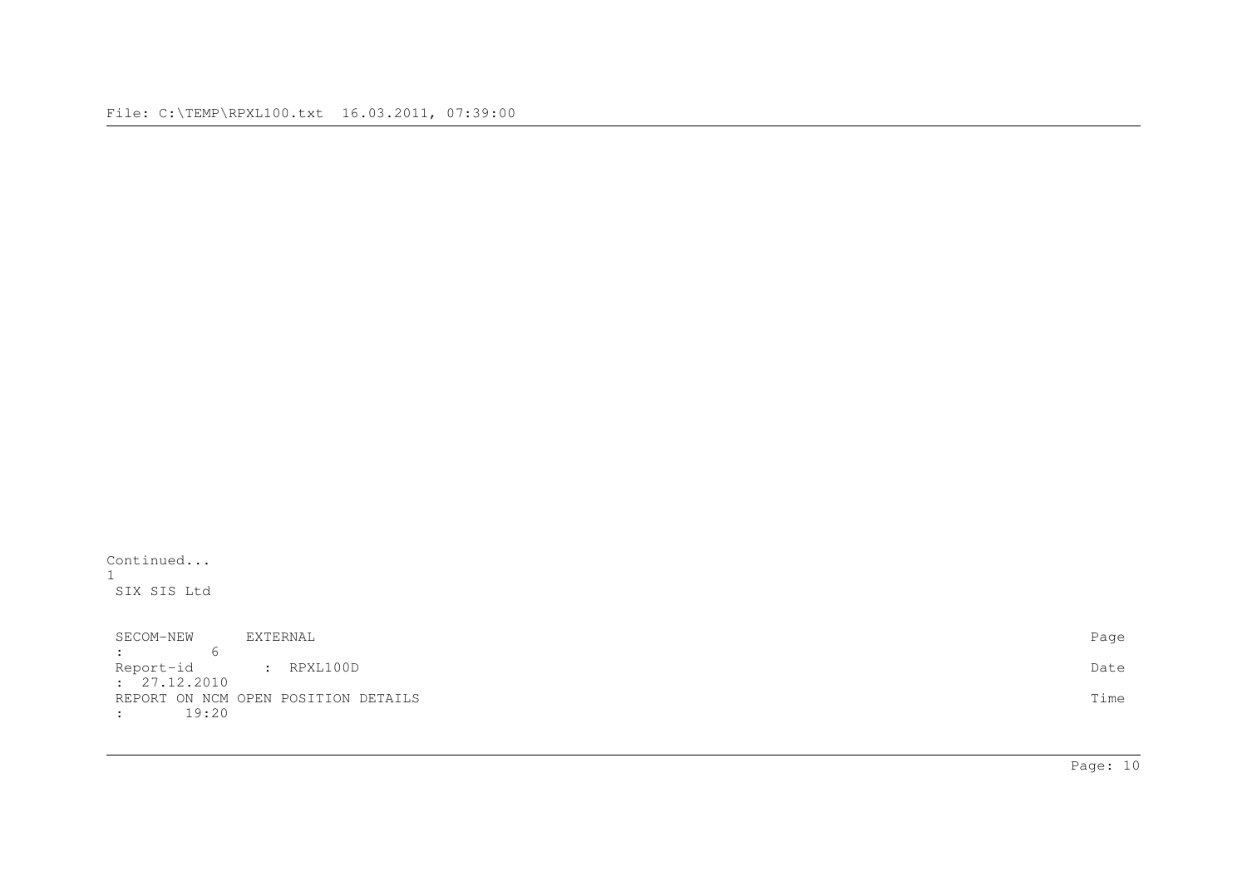Continued...1SIX SIS Ltd

| SECOM-NEW             | EXTERNAL                            | Page |
|-----------------------|-------------------------------------|------|
| しまい アーバー・アーバー         |                                     |      |
| Report-id : RPXL100D  |                                     | Date |
| : 27.12.2010          |                                     |      |
|                       | REPORT ON NCM OPEN POSITION DETAILS | Time |
| 19:20<br>$\mathbf{r}$ |                                     |      |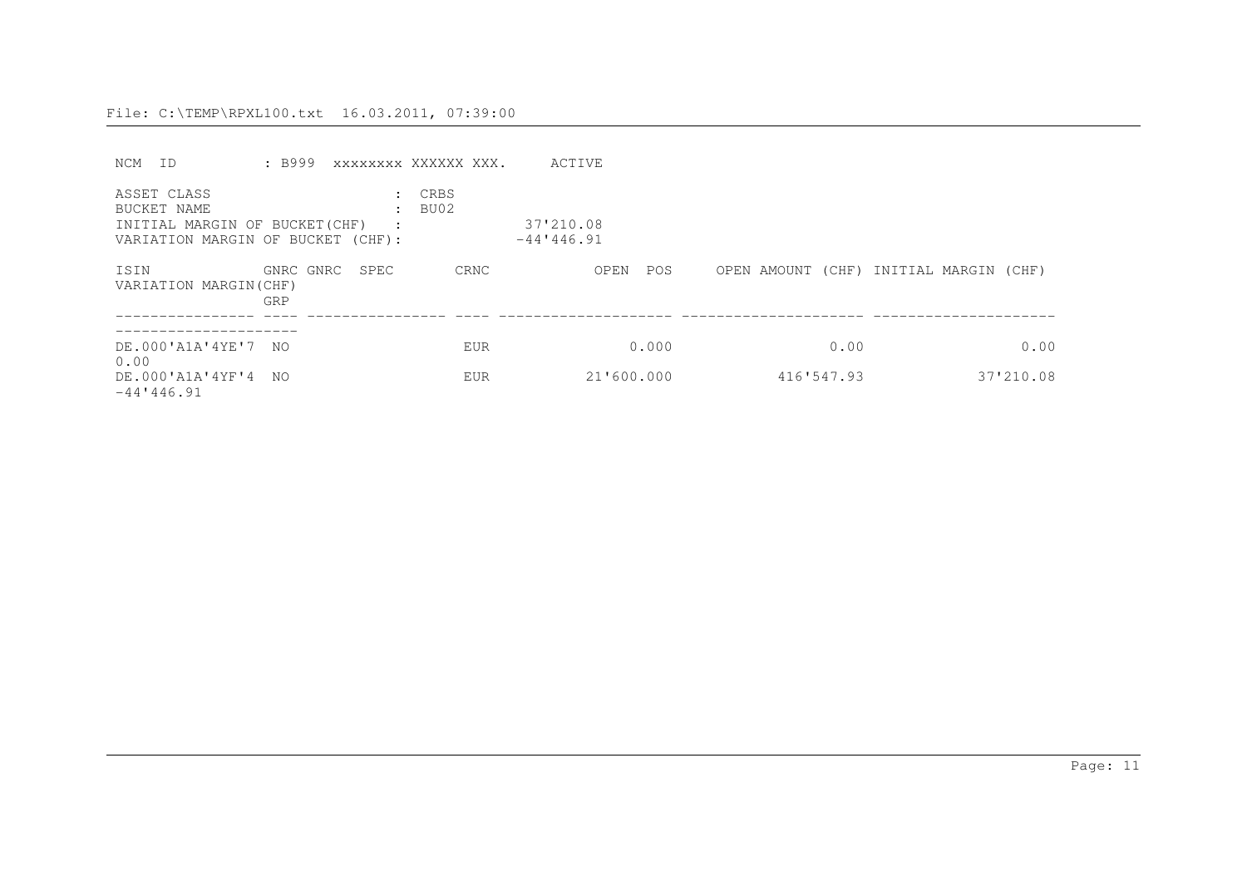| NCM<br>ID.                                                                                       | : B999                |                           | XXXXXXXX XXXXXX XXX.  | ACTIVE                     |            |                                        |
|--------------------------------------------------------------------------------------------------|-----------------------|---------------------------|-----------------------|----------------------------|------------|----------------------------------------|
| ASSET CLASS<br>BUCKET NAME<br>INITIAL MARGIN OF BUCKET(CHF)<br>VARIATION MARGIN OF BUCKET (CHF): |                       | $\mathbf{r}$<br>$\cdot$ : | CRBS<br>: <b>BU02</b> | 37'210.08<br>$-44'1446.91$ |            |                                        |
| ISIN<br>VARIATION MARGIN(CHF)                                                                    | GNRC GNRC SPEC<br>GRP |                           | CRNC                  | OPEN<br>POS                |            | OPEN AMOUNT (CHF) INITIAL MARGIN (CHF) |
| DE.000'A1A'4YE'7 NO<br>0.00                                                                      |                       |                           | <b>EUR</b>            | 0.000                      | 0.00       | 0.00                                   |
| DE.000'A1A'4YF'4 NO<br>$-44'$ 446.91                                                             |                       |                           | <b>EUR</b>            | 21'600.000                 | 416'547.93 | 37'210.08                              |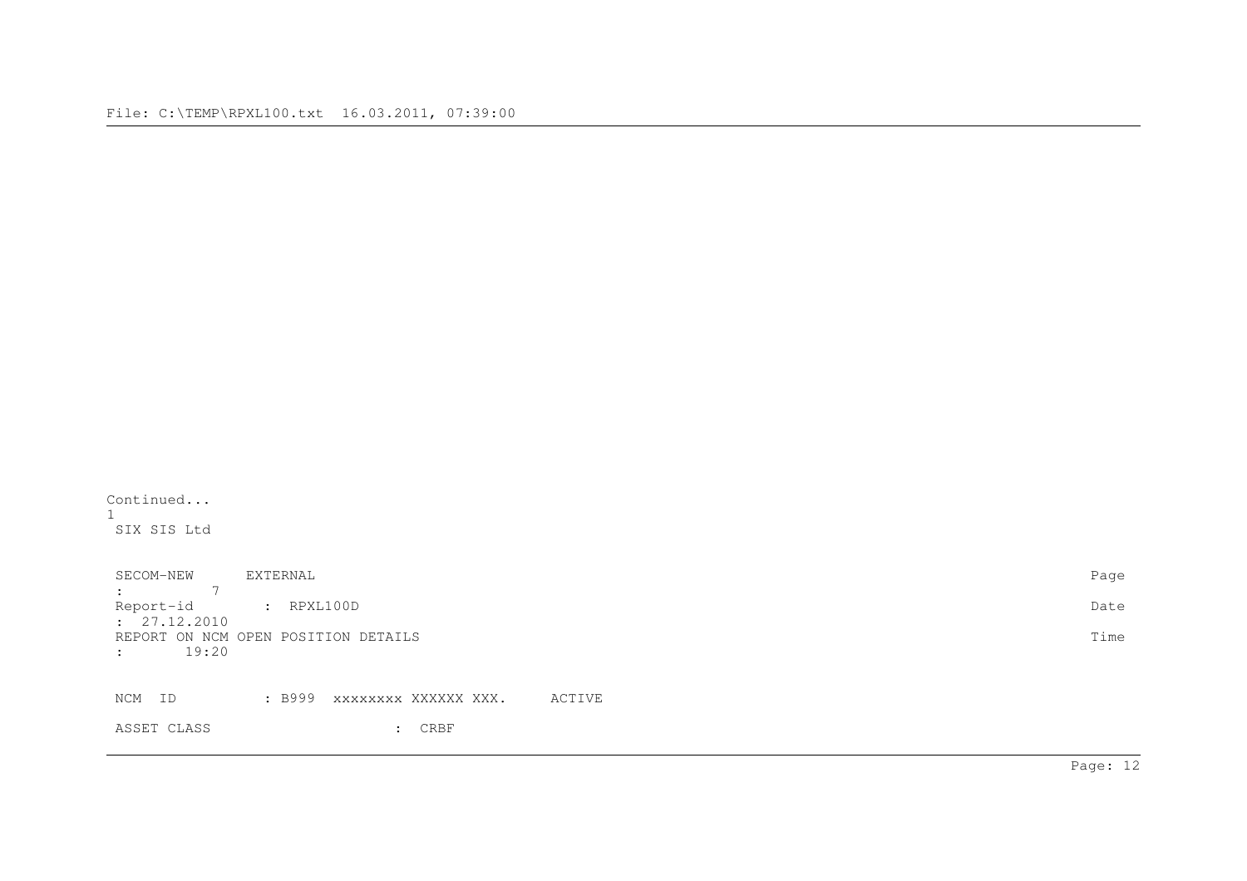Continued...1SIX SIS Ltd

SECOM-NEW EXTERNAL Page : 7 Report-id : RPXL100D Date : 27.12.2010 REPORT ON NCM OPEN POSITION DETAILS Time : 19:20NCM ID : B999 xxxxxxxx XXXXXX XXX. ACTIVE ASSET CLASS : CRBF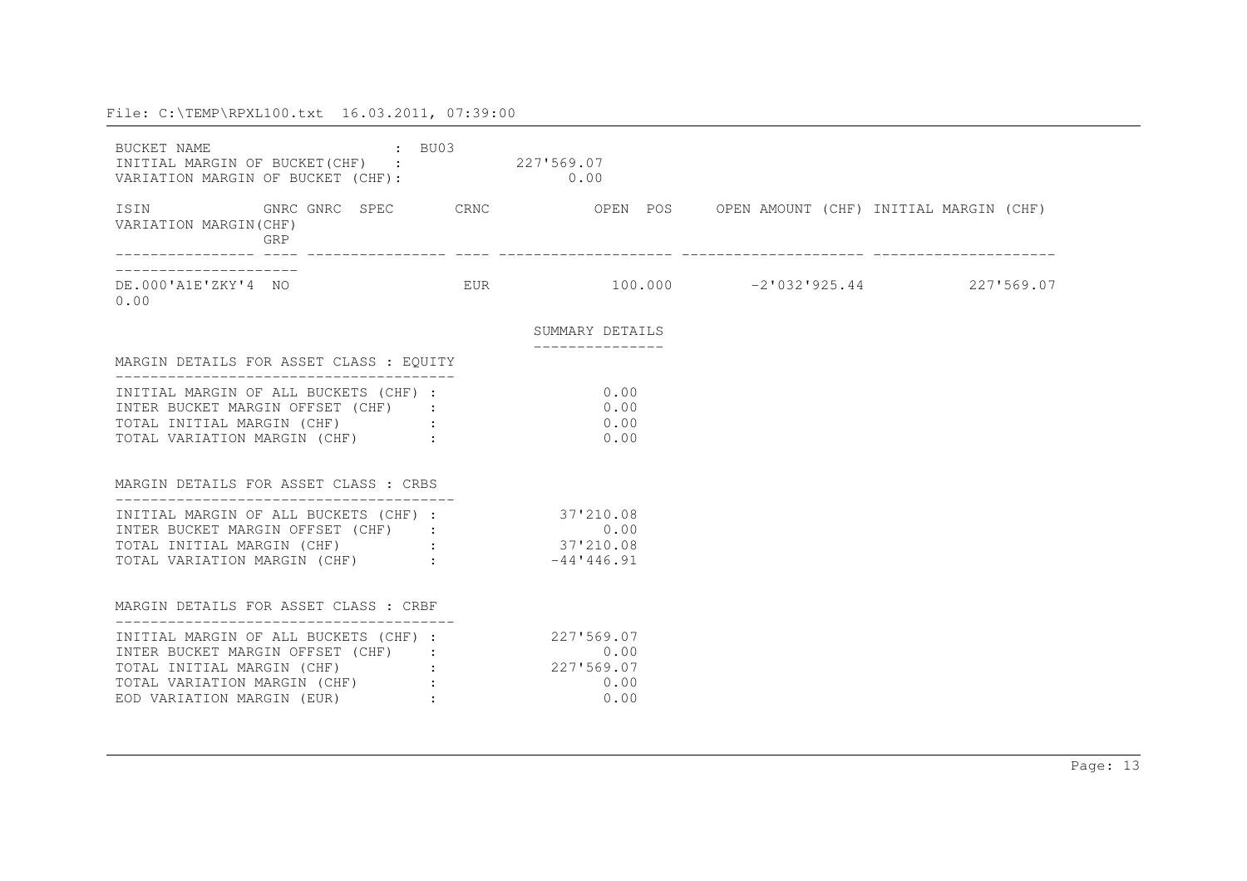| BUCKET NAME<br>INITIAL MARGIN OF BUCKET(CHF) : 227'569.07<br>VARIATION MARGIN OF BUCKET (CHF): 0.00                                                                                                      | : BU03 |                 |  |
|----------------------------------------------------------------------------------------------------------------------------------------------------------------------------------------------------------|--------|-----------------|--|
| ISIN 600 GNRC GNRC SPEC CRNC OPEN POS OPEN AMOUNT (CHF) INITIAL MARGIN (CHF)<br>VARIATION MARGIN (CHF)<br>GRP                                                                                            |        |                 |  |
| 0.00                                                                                                                                                                                                     |        |                 |  |
|                                                                                                                                                                                                          |        | SUMMARY DETAILS |  |
| MARGIN DETAILS FOR ASSET CLASS : EQUITY                                                                                                                                                                  |        |                 |  |
| INITIAL MARGIN OF ALL BUCKETS (CHF) : 0.00<br>INTER BUCKET MARGIN OFFSET (CHF) :<br>TOTAL INITIAL MARGIN (CHF) : 30.00<br>TOTAL VARIATION MARGIN (CHF) :                                                 |        | 0.00<br>0.00    |  |
| MARGIN DETAILS FOR ASSET CLASS : CRBS                                                                                                                                                                    |        |                 |  |
| INITIAL MARGIN OF ALL BUCKETS (CHF) : 37'210.08<br>INTER BUCKET MARGIN OFFSET (CHF) : 0.00<br>TOTAL INITIAL MARGIN (CHF) : 37'210.08<br>TOTAL VARIATION MARGIN (CHF) : -44'446.91                        |        |                 |  |
| MARGIN DETAILS FOR ASSET CLASS: CRBF                                                                                                                                                                     |        |                 |  |
| INITIAL MARGIN OF ALL BUCKETS (CHF) : 227'569.07<br>TNTER BUCKET MARGIN OFFSET (CHF) :<br>TOTAL INITIAL MARGIN (CHF) :<br>TOTAL VARIATION MARGIN (CHF) : 227'569.07<br>EOD VARIATION MARGIN (EUR) : 0.00 |        |                 |  |